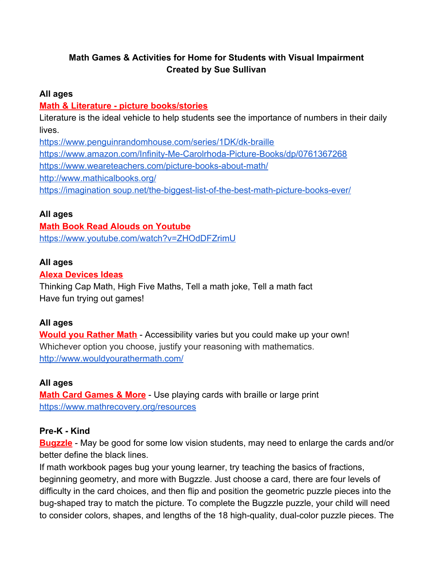## **Math Games & Activities for Home for Students with Visual Impairment Created by Sue Sullivan**

### **All ages**

### **Math & Literature - picture books/stories**

Literature is the ideal vehicle to help students see the importance of numbers in their daily lives.

<https://www.penguinrandomhouse.com/series/1DK/dk-braille> <https://www.amazon.com/Infinity-Me-Carolrhoda-Picture-Books/dp/0761367268> <https://www.weareteachers.com/picture-books-about-math/> <http://www.mathicalbooks.org/> [https://imagination soup.net/the-biggest-list-of-the-best-math-picture-books-ever/](https://imaginationsoup.net/the-biggest-list-of-the-best-math-picture-books-ever/)

## **All ages**

### **Math Book Read Alouds on Youtube**

<https://www.youtube.com/watch?v=ZHOdDFZrimU>

## **All ages**

## **Alexa Devices Ideas**

Thinking Cap Math, High Five Maths, Tell a math joke, Tell a math fact Have fun trying out games!

### **All ages**

**Would you Rather Math** - Accessibility varies but you could make up your own! Whichever option you choose, justify your reasoning with mathematics. <http://www.wouldyourathermath.com/>

## **All ages**

**Math Card Games & More** - Use playing cards with braille or large print <https://www.mathrecovery.org/resources>

### **Pre-K - Kind**

**Bugzzle** - May be good for some low vision students, may need to enlarge the cards and/or better define the black lines.

If math workbook pages bug your young learner, try teaching the basics of fractions, beginning geometry, and more with Bugzzle. Just choose a card, there are four levels of difficulty in the card choices, and then flip and position the geometric puzzle pieces into the bug-shaped tray to match the picture. To complete the Bugzzle puzzle, your child will need to consider colors, shapes, and lengths of the 18 high-quality, dual-color puzzle pieces. The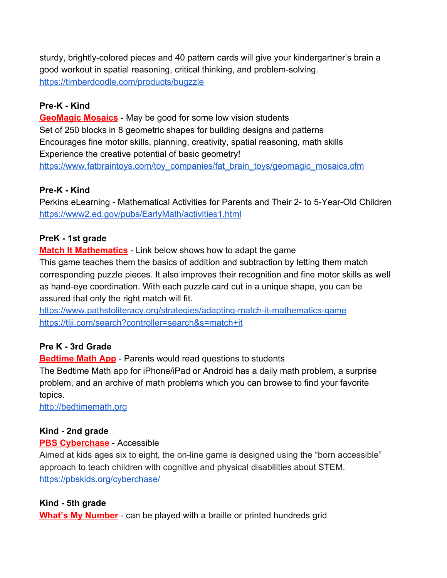sturdy, brightly-colored pieces and 40 pattern cards will give your kindergartner's brain a good workout in spatial reasoning, critical thinking, and problem-solving. <https://timberdoodle.com/products/bugzzle>

## **Pre-K - Kind**

**GeoMagic Mosaics** - May be good for some low vision students Set of 250 blocks in 8 geometric shapes for building designs and patterns Encourages fine motor skills, planning, creativity, spatial reasoning, math skills Experience the creative potential of basic geometry! [https://www.fatbraintoys.com/toy\\_companies/fat\\_brain\\_toys/geomagic\\_mosaics.cfm](https://www.fatbraintoys.com/toy_companies/fat_brain_toys/geomagic_mosaics.cfm)

## **Pre-K - Kind**

Perkins eLearning - [Mathematical Activities for Parents and Their 2- to 5-Year-Old Children](http://www2.ed.gov/pubs/EarlyMath/index.html) <https://www2.ed.gov/pubs/EarlyMath/activities1.html>

## **PreK - 1st grade**

**Match It Mathematics** - Link below shows how to adapt the game This game teaches them the basics of addition and subtraction by letting them match corresponding puzzle pieces. It also improves their recognition and fine motor skills as well as hand-eye coordination. With each puzzle card cut in a unique shape, you can be assured that only the right match will fit.

<https://www.pathstoliteracy.org/strategies/adapting-match-it-mathematics-game> <https://tlji.com/search?controller=search&s=match+it>

## **Pre K - 3rd Grade**

**Bedtime Math App** - Parents would read questions to students

The Bedtime Math app for iPhone/iPad or Android has a daily math problem, a surprise problem, and an archive of math problems which you can browse to find your favorite topics.

[http://bedtimemath.org](http://bedtimemath.org/)

## **Kind - 2nd grade**

### **PBS Cyberchase** - Accessible

Aimed at kids ages six to eight, the on-line game is designed using the "born accessible" approach to teach children with cognitive and physical disabilities about STEM. <https://pbskids.org/cyberchase/>

## **Kind - 5th grade**

**What's My Number** - can be played with a braille or printed hundreds grid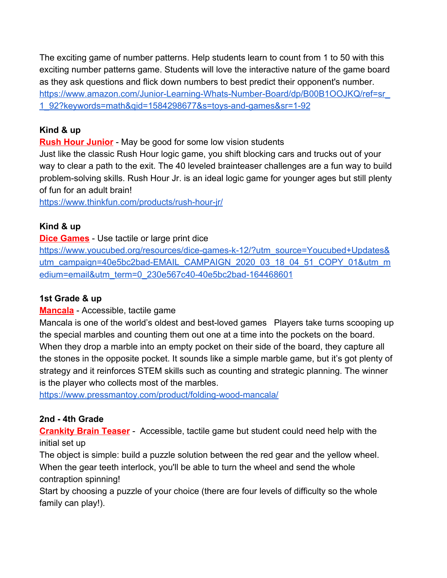The exciting game of number patterns. Help students learn to count from 1 to 50 with this exciting number patterns game. Students will love the interactive nature of the game board as they ask questions and flick down numbers to best predict their opponent's number. [https://www.amazon.com/Junior-Learning-Whats-Number-Board/dp/B00B1OOJKQ/ref=sr\\_](https://www.amazon.com/Junior-Learning-Whats-Number-Board/dp/B00B1OOJKQ/ref=sr_1_92?keywords=math&qid=1584298677&s=toys-and-games&sr=1-92) [1\\_92?keywords=math&qid=1584298677&s=toys-and-games&sr=1-92](https://www.amazon.com/Junior-Learning-Whats-Number-Board/dp/B00B1OOJKQ/ref=sr_1_92?keywords=math&qid=1584298677&s=toys-and-games&sr=1-92)

## **Kind & up**

**Rush Hour Junior** - May be good for some low vision students

Just like the classic Rush Hour logic game, you shift blocking cars and trucks out of your way to clear a path to the exit. The 40 leveled brainteaser challenges are a fun way to build problem-solving skills. Rush Hour Jr. is an ideal logic game for younger ages but still plenty of fun for an adult brain!

<https://www.thinkfun.com/products/rush-hour-jr/>

## **Kind & up**

## **Dice Games** - Use tactile or large print dice

[https://www.youcubed.org/resources/dice-games-k-12/?utm\\_source=Youcubed+Updates&](https://www.youcubed.org/resources/dice-games-k-12/?utm_source=Youcubed+Updates&utm_campaign=40e5bc2bad-EMAIL_CAMPAIGN_2020_03_18_04_51_COPY_01&utm_medium=email&utm_term=0_230e567c40-40e5bc2bad-164468601) [utm\\_campaign=40e5bc2bad-EMAIL\\_CAMPAIGN\\_2020\\_03\\_18\\_04\\_51\\_COPY\\_01&utm\\_m](https://www.youcubed.org/resources/dice-games-k-12/?utm_source=Youcubed+Updates&utm_campaign=40e5bc2bad-EMAIL_CAMPAIGN_2020_03_18_04_51_COPY_01&utm_medium=email&utm_term=0_230e567c40-40e5bc2bad-164468601) [edium=email&utm\\_term=0\\_230e567c40-40e5bc2bad-164468601](https://www.youcubed.org/resources/dice-games-k-12/?utm_source=Youcubed+Updates&utm_campaign=40e5bc2bad-EMAIL_CAMPAIGN_2020_03_18_04_51_COPY_01&utm_medium=email&utm_term=0_230e567c40-40e5bc2bad-164468601)

## **1st Grade & up**

## **Mancala** - Accessible, tactile game

Mancala is one of the world's oldest and best-loved games Players take turns scooping up the special marbles and counting them out one at a time into the pockets on the board. When they drop a marble into an empty pocket on their side of the board, they capture all the stones in the opposite pocket. It sounds like a simple marble game, but it's got plenty of strategy and it reinforces STEM skills such as counting and strategic planning. The winner is the player who collects most of the marbles.

<https://www.pressmantoy.com/product/folding-wood-mancala/>

## **2nd - 4th Grade**

**Crankity Brain Teaser** - Accessible, tactile game but student could need help with the initial set up

The object is simple: build a puzzle solution between the red gear and the yellow wheel. When the gear teeth interlock, you'll be able to turn the wheel and send the whole contraption spinning!

Start by choosing a puzzle of your choice (there are four levels of difficulty so the whole family can play!).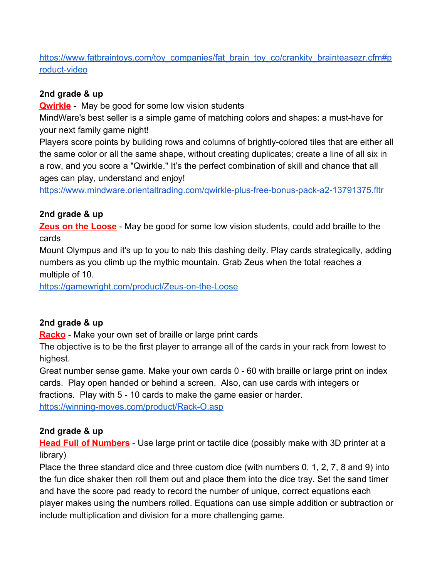[https://www.fatbraintoys.com/toy\\_companies/fat\\_brain\\_toy\\_co/crankity\\_brainteasezr.cfm#p](https://www.fatbraintoys.com/toy_companies/fat_brain_toy_co/crankity_brainteaser.cfm#product-video) [roduct-video](https://www.fatbraintoys.com/toy_companies/fat_brain_toy_co/crankity_brainteaser.cfm#product-video)

## **2nd grade & up**

**Qwirkle** - May be good for some low vision students

MindWare's best seller is a simple game of matching colors and shapes: a must-have for your next family game night!

Players score points by building rows and columns of brightly-colored tiles that are either all the same color or all the same shape, without creating duplicates; create a line of all six in a row, and you score a "Qwirkle." It's the perfect combination of skill and chance that all ages can play, understand and enjoy!

<https://www.mindware.orientaltrading.com/qwirkle-plus-free-bonus-pack-a2-13791375.fltr>

## **2nd grade & up**

**Zeus on the Loose** - May be good for some low vision students, could add braille to the cards

Mount Olympus and it's up to you to nab this dashing deity. Play cards strategically, adding numbers as you climb up the mythic mountain. Grab Zeus when the total reaches a multiple of 10.

<https://gamewright.com/product/Zeus-on-the-Loose>

# **2nd grade & up**

**Racko** - Make your own set of braille or large print cards

The objective is to be the first player to arrange all of the cards in your rack from lowest to highest.

Great number sense game. Make your own cards 0 - 60 with braille or large print on index cards. Play open handed or behind a screen. Also, can use cards with integers or

fractions. Play with 5 - 10 cards to make the game easier or harder.

<https://winning-moves.com/product/Rack-O.asp>

## **2nd grade & up**

**Head Full of Numbers** - Use large print or tactile dice (possibly make with 3D printer at a library)

Place the three standard dice and three custom dice (with numbers 0, 1, 2, 7, 8 and 9) into the fun dice shaker then roll them out and place them into the dice tray. Set the sand timer and have the score pad ready to record the number of unique, correct equations each player makes using the numbers rolled. Equations can use simple addition or subtraction or include multiplication and division for a more challenging game.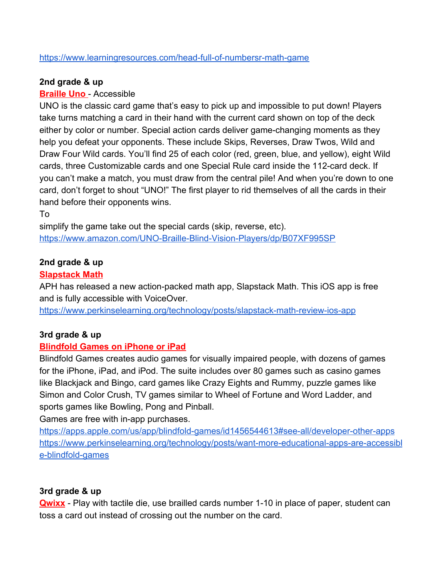#### <https://www.learningresources.com/head-full-of-numbersr-math-game>

#### **2nd grade & up**

### **Braille Uno** - Accessible

UNO is the classic card game that's easy to pick up and impossible to put down! Players take turns matching a card in their hand with the current card shown on top of the deck either by color or number. Special action cards deliver game-changing moments as they help you defeat your opponents. These include Skips, Reverses, Draw Twos, Wild and Draw Four Wild cards. You'll find 25 of each color (red, green, blue, and yellow), eight Wild cards, three Customizable cards and one Special Rule card inside the 112-card deck. If you can't make a match, you must draw from the central pile! And when you're down to one card, don't forget to shout "UNO!" The first player to rid themselves of all the cards in their hand before their opponents wins.

To

simplify the game take out the special cards (skip, reverse, etc). <https://www.amazon.com/UNO-Braille-Blind-Vision-Players/dp/B07XF995SP>

## **2nd grade & up**

### **Slapstack Math**

APH has released a new action-packed math app, Slapstack Math. This iOS app is free and is fully accessible with VoiceOver.

<https://www.perkinselearning.org/technology/posts/slapstack-math-review-ios-app>

### **3rd grade & up**

#### **Blindfold Games on iPhone or iPad**

Blindfold Games creates audio games for visually impaired people, with dozens of games for the iPhone, iPad, and iPod. The suite includes over 80 games such as casino games like Blackjack and Bingo, card games like Crazy Eights and Rummy, puzzle games like Simon and Color Crush, TV games similar to Wheel of Fortune and Word Ladder, and sports games like Bowling, Pong and Pinball.

Games are free with in-app purchases.

<https://apps.apple.com/us/app/blindfold-games/id1456544613#see-all/developer-other-apps> [https://www.perkinselearning.org/technology/posts/want-more-educational-apps-are-accessibl](https://www.perkinselearning.org/technology/posts/want-more-educational-apps-are-accessible-blindfold-games) [e-blindfold-games](https://www.perkinselearning.org/technology/posts/want-more-educational-apps-are-accessible-blindfold-games)

#### **3rd grade & up**

**Qwixx** - Play with tactile die, use brailled cards number 1-10 in place of paper, student can toss a card out instead of crossing out the number on the card.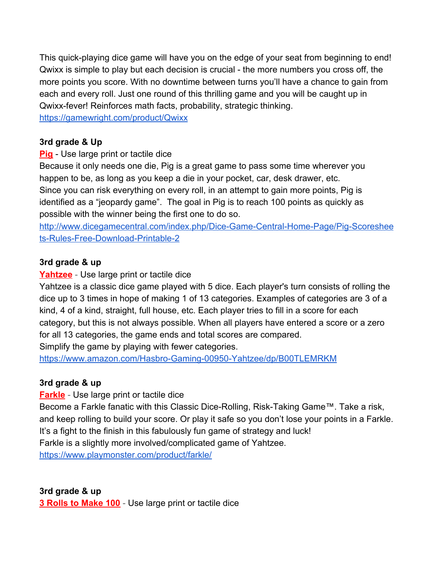This quick-playing dice game will have you on the edge of your seat from beginning to end! Qwixx is simple to play but each decision is crucial - the more numbers you cross off, the more points you score. With no downtime between turns you'll have a chance to gain from each and every roll. Just one round of this thrilling game and you will be caught up in Qwixx-fever! Reinforces math facts, probability, strategic thinking.

<https://gamewright.com/product/Qwixx>

## **3rd grade & Up**

**Pig** - Use large print or tactile dice

Because it only needs one die, Pig is a great game to pass some time wherever you happen to be, as long as you keep a die in your pocket, car, desk drawer, etc. Since you can risk everything on every roll, in an attempt to gain more points, Pig is identified as a "jeopardy game". The goal in Pig is to reach 100 points as quickly as possible with the winner being the first one to do so.

[http://www.dicegamecentral.com/index.php/Dice-Game-Central-Home-Page/Pig-Scoreshee](http://www.dicegamecentral.com/index.php/Dice-Game-Central-Home-Page/Pig-Scoresheets-Rules-Free-Download-Printable-2) [ts-Rules-Free-Download-Printable-2](http://www.dicegamecentral.com/index.php/Dice-Game-Central-Home-Page/Pig-Scoresheets-Rules-Free-Download-Printable-2)

## **3rd grade & up**

**Yahtzee** - Use large print or tactile dice

Yahtzee is a classic dice game played with 5 dice. Each player's turn consists of rolling the dice up to 3 times in hope of making 1 of 13 categories. Examples of categories are 3 of a kind, 4 of a kind, straight, full house, etc. Each player tries to fill in a score for each category, but this is not always possible. When all players have entered a score or a zero for all 13 categories, the game ends and total scores are compared.

Simplify the game by playing with fewer categories.

<https://www.amazon.com/Hasbro-Gaming-00950-Yahtzee/dp/B00TLEMRKM>

## **3rd grade & up**

**Farkle** - Use large print or tactile dice

Become a Farkle fanatic with this Classic Dice-Rolling, Risk-Taking Game™. Take a risk, and keep rolling to build your score. Or play it safe so you don't lose your points in a Farkle. It's a fight to the finish in this fabulously fun game of strategy and luck! Farkle is a slightly more involved/complicated game of Yahtzee.

<https://www.playmonster.com/product/farkle/>

**3rd grade & up 3 Rolls to Make 100** - Use large print or tactile dice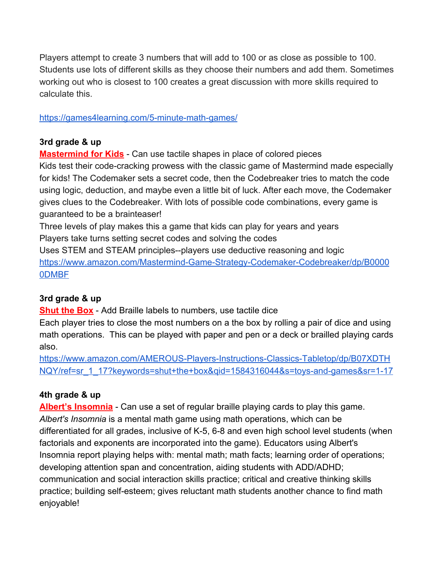Players attempt to create 3 numbers that will add to 100 or as close as possible to 100. Students use lots of different skills as they choose their numbers and add them. Sometimes working out who is closest to 100 creates a great discussion with more skills required to calculate this.

<https://games4learning.com/5-minute-math-games/>

## **3rd grade & up**

**Mastermind for Kids** - Can use tactile shapes in place of colored pieces

Kids test their code-cracking prowess with the classic game of Mastermind made especially for kids! The Codemaker sets a secret code, then the Codebreaker tries to match the code using logic, deduction, and maybe even a little bit of luck. After each move, the Codemaker gives clues to the Codebreaker. With lots of possible code combinations, every game is guaranteed to be a brainteaser!

Three levels of play makes this a game that kids can play for years and years Players take turns setting secret codes and solving the codes

Uses STEM and STEAM principles--players use deductive reasoning and logic [https://www.amazon.com/Mastermind-Game-Strategy-Codemaker-Codebreaker/dp/B0000](https://www.amazon.com/Mastermind-Game-Strategy-Codemaker-Codebreaker/dp/B00000DMBF) [0DMBF](https://www.amazon.com/Mastermind-Game-Strategy-Codemaker-Codebreaker/dp/B00000DMBF)

# **3rd grade & up**

**Shut the Box** - Add Braille labels to numbers, use tactile dice

Each player tries to close the most numbers on a the box by rolling a pair of dice and using math operations. This can be played with paper and pen or a deck or brailled playing cards also.

[https://www.amazon.com/AMEROUS-Players-Instructions-Classics-Tabletop/dp/B07XDTH](https://www.amazon.com/AMEROUS-Players-Instructions-Classics-Tabletop/dp/B07XDTHNQY/ref=sr_1_17?keywords=shut+the+box&qid=1584316044&s=toys-and-games&sr=1-17) [NQY/ref=sr\\_1\\_17?keywords=shut+the+box&qid=1584316044&s=toys-and-games&sr=1-17](https://www.amazon.com/AMEROUS-Players-Instructions-Classics-Tabletop/dp/B07XDTHNQY/ref=sr_1_17?keywords=shut+the+box&qid=1584316044&s=toys-and-games&sr=1-17)

# **4th grade & up**

**Albert's Insomnia** - Can use a set of regular braille playing cards to play this game. *Albert's Insomnia* is a mental math game using math operations, which can be differentiated for all grades, inclusive of K-5, 6-8 and even high school level students (when factorials and exponents are incorporated into the game). Educators using Albert's Insomnia report playing helps with: mental math; math facts; learning order of operations; developing attention span and concentration, aiding students with ADD/ADHD; communication and social interaction skills practice; critical and creative thinking skills practice; building self-esteem; gives reluctant math students another chance to find math enjoyable!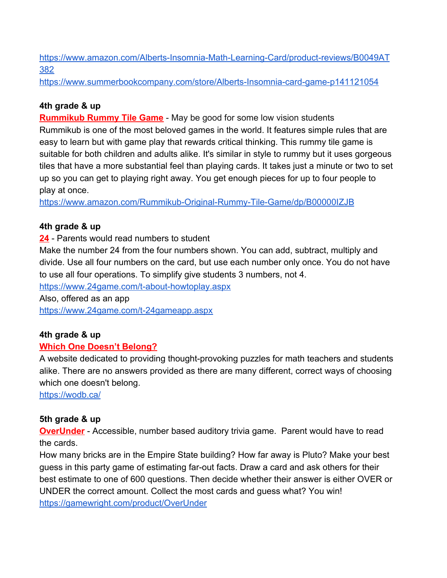[https://www.amazon.com/Alberts-Insomnia-Math-Learning-Card/product-reviews/B0049AT](https://www.amazon.com/Alberts-Insomnia-Math-Learning-Card/product-reviews/B0049AT382) [382](https://www.amazon.com/Alberts-Insomnia-Math-Learning-Card/product-reviews/B0049AT382)

<https://www.summerbookcompany.com/store/Alberts-Insomnia-card-game-p141121054>

## **4th grade & up**

**Rummikub Rummy Tile Game** - May be good for some low vision students Rummikub is one of the most beloved games in the world. It features simple rules that are easy to learn but with game play that rewards critical thinking. This rummy tile game is suitable for both children and adults alike. It's similar in style to rummy but it uses gorgeous tiles that have a more substantial feel than playing cards. It takes just a minute or two to set up so you can get to playing right away. You get enough pieces for up to four people to play at once.

<https://www.amazon.com/Rummikub-Original-Rummy-Tile-Game/dp/B00000IZJB>

## **4th grade & up**

**24** - Parents would read numbers to student

Make the number 24 from the four numbers shown. You can add, subtract, multiply and divide. Use all four numbers on the card, but use each number only once. You do not have to use all four operations. To simplify give students 3 numbers, not 4.

<https://www.24game.com/t-about-howtoplay.aspx>

Also, offered as an app <https://www.24game.com/t-24gameapp.aspx>

## **4th grade & up**

## **Which One Doesn't Belong?**

A website dedicated to providing thought-provoking puzzles for math teachers and students alike. There are no answers provided as there are many different, correct ways of choosing which one doesn't belong.

<https://wodb.ca/>

# **5th grade & up**

**OverUnder** - Accessible, number based auditory trivia game. Parent would have to read the cards.

How many bricks are in the Empire State building? How far away is Pluto? Make your best guess in this party game of estimating far-out facts. Draw a card and ask others for their best estimate to one of 600 questions. Then decide whether their answer is either OVER or UNDER the correct amount. Collect the most cards and guess what? You win! <https://gamewright.com/product/OverUnder>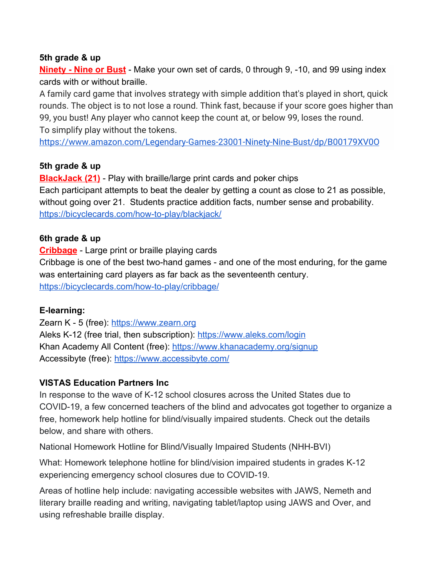#### **5th grade & up**

**Ninety - Nine or Bust** - Make your own set of cards, 0 through 9, -10, and 99 using index cards with or without braille.

A family card game that involves strategy with simple addition that's played in short, quick rounds. The object is to not lose a round. Think fast, because if your score goes higher than 99, you bust! Any player who cannot keep the count at, or below 99, loses the round. To simplify play without the tokens.

<https://www.amazon.com/Legendary-Games-23001-Ninety-Nine-Bust/dp/B00179XV0O>

### **5th grade & up**

**BlackJack (21)** - Play with braille/large print cards and poker chips Each participant attempts to beat the dealer by getting a count as close to 21 as possible, without going over 21. Students practice addition facts, number sense and probability. <https://bicyclecards.com/how-to-play/blackjack/>

## **6th grade & up**

**Cribbage** - Large print or braille playing cards Cribbage is one of the best two-hand games - and one of the most enduring, for the game was entertaining card players as far back as the seventeenth century. <https://bicyclecards.com/how-to-play/cribbage/>

### **E-learning:**

Zearn K - 5 (free): [https://www.zearn.org](https://www.zearn.org/) Aleks K-12 (free trial, then subscription): <https://www.aleks.com/login> Khan Academy All Content (free): <https://www.khanacademy.org/signup> Accessibyte (free): <https://www.accessibyte.com/>

## **[VISTAS Education Partners Inc](https://www.facebook.com/VISTASEducationPartners/?__xts__%5B0%5D=68.ARBG42fjiq2T_VWXCbxM2ghhI51el2rLma6dAJGFT6giH1DwvDZ1B1NbIKCac4TzrO3wp7QqVFx8t4KDhN04njzQBQaf582xCWqvkG0zk4uzLiJWgiI0CFJjRsVbb82TilpoDMqhBPb8NTe-imkMZMPCGdREoV0NY9ugOm9DtGWyLtDkouaK1b-cnI3LVHrvaVfkTY1K5Xt6HLVEDPZv-ye8L0Vji3XVcFrlt4nG-apLNm9IPkr2HzlMAoaErYINebuD058AJuy07HB7b6fg4spXAapx06MWo-5hR9_ULk1cvizqTnrB-9AlGqOvzdCph88etsMUiXOhYA&__xts__%5B1%5D=68.ARAI33dMLFRWWh5ZQRtYLHWxWoXl9_MG1WR6KlYXRuLXuGZ9-It-hi8a3mM4Gd1yeGumQoU7z_-5lrkwo5P-NX1CJdvqie4gNCU8xehafAz_Jv5eJuVI43KpaYYygbLoYVAo_hC6pnJS7lSuRMm16CRlRnW07f8rB9N8DzcGzPAfcksVUeayq97H0TAuKYZp-zfwtXjN26lC_d_UYZFLs-W9tRl71Rturu-SUXtgUG4sZlnze6dAIXHEJpDTIGlqjgoxFFLVxvdk-PT69U28rnVWqOSsU_iGSj-YLxAwgmSaxwXR1FKKWp_9b8d3SNsBSufqD9CJa2J3oaNCrNI&__xts__%5B2%5D=68.ARC8FSpyqwmKMehOGxgKbIQlj6TF5FO7j9u6bvIWVttnpGj8X3DWnaUpM9xitUlMD2n6FpGaVpJ0-0HRidckXE5rDejihfrurC_PmI1a58-NJmqoTNML2684Q-kQzkn_lkZBfHk3sHTzeOlrlPUBORBp8E0j_tZmshLxG2QrS5uW2xU2mPAgIyYAgJLB5PM4tyNhvkkYPlNRX81yl2huzy6FhwRYLvOhv86R2F_HQGILDBv15Z9ic555_nERHHSpjkIUVVPIvhMvmYGeV6H6Og-kJ4IsosJr_yBLADpeRf-BUtmWI8uVaLHuxCwwY-2SZKD-pS-gk9TiCZsxMIA&__xts__%5B3%5D=68.ARDrZ2ZYbF1DZVkm5bBObQRCEZ0oa2NF4Y7qBJdIOQ6xOlaHNU8K5CoCXWMf9r0OZJLyzp_UPjcRK8I_ykoltTsuBSKBLIW6aFPetMkmzuAIKg31VMFbzaOZRLOKqNGtXeKs5td4vHV3r0QD9pK6-of3KWOoRRnoz1jUshN-bsx5vwL-lWPnWZniU-TbDIL3L_sU8_GrLozieFUDMkUOPxEv8E5SEN3uioOG0cNn17FbCkV7fEGvi68oH-1rukAiuRM2afCWY8eu_nrI_jA2sJpP8zjry0UO0h6OiqBglIHWO10qSmARbFXkCj-L1rxJ4CfToYzmxjtEr8Ss4Ro&__tn__=kC-R&eid=ARB6fcfUkA5f2uI1Uu-_32OD_8wTiCyhYNjAXl1CVeNue6voX7-BxHzPzV-eab3NRJJZCfGRREHO4M-G&hc_ref=ARQqCIAMl9VPsokF2cHvIbfZpFtE6WvXB3fQ1EZA6zTYmmpaC4D36sLD_atCTemIkrM&fref=nf)**

In response to the wave of K-12 school closures across the United States due to COVID-19, a few concerned teachers of the blind and advocates got together to organize a free, homework help hotline for blind/visually impaired students. Check out the details below, and share with others.

National Homework Hotline for Blind/Visually Impaired Students (NHH-BVI)

What: Homework telephone hotline for blind/vision impaired students in grades K-12 experiencing emergency school closures due to COVID-19.

Areas of hotline help include: navigating accessible websites with JAWS, Nemeth and literary braille reading and writing, navigating tablet/laptop using JAWS and Over, and using refreshable braille display.